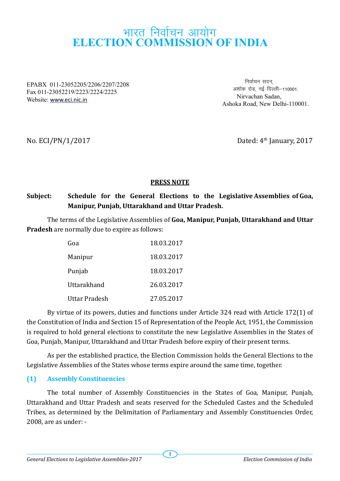# भारत निर्वाचन आयोग **ELECTION COMMISSION OF INDIA**

EPABX 011-23052205/2206/2207/2208 Fax 011-23052219/2223/2224/2225 Website: www.eci.nic.in

निर्वाचन सदन. अशोक रोड नई दिल्ली—110001 Nirvachan Sadan, Ashoka Road, New Delhi-110001.

No.  $ECI/PN/1/2017$  Dated:  $4<sup>th</sup>$  January, 2017

# **PRESS NOTE**

# **Subject: Schedule for the General Elections to the Legislative Assemblies of Goa, Manipur, Punjab, Uttarakhand and Uttar Pradesh.**

The terms of the Legislative Assemblies of **Goa, Manipur, Punjab, Uttarakhand and Uttar Pradesh** are normally due to expire as follows:

| Goa           | 18.03.2017 |
|---------------|------------|
| Manipur       | 18.03.2017 |
| Punjab        | 18.03.2017 |
| Uttarakhand   | 26.03.2017 |
| Uttar Pradesh | 27.05.2017 |

By virtue of its powers, duties and functions under Article 324 read with Article 172(1) of the Constitution of India and Section 15 of Representation of the People Act, 1951, the Commission is required to hold general elections to constitute the new Legislative Assemblies in the States of Goa, Punjab, Manipur, Uttarakhand and Uttar Pradesh before expiry of their present terms.

As per the established practice, the Election Commission holds the General Elections to the Legislative Assemblies of the States whose terms expire around the same time, together.

# **(1) Assembly Constituencies**

The total number of Assembly Constituencies in the States of Goa, Manipur, Punjab, Uttarakhand and Uttar Pradesh and seats reserved for the Scheduled Castes and the Scheduled Tribes, as determined by the Delimitation of Parliamentary and Assembly Constituencies Order, 2008, are as under: -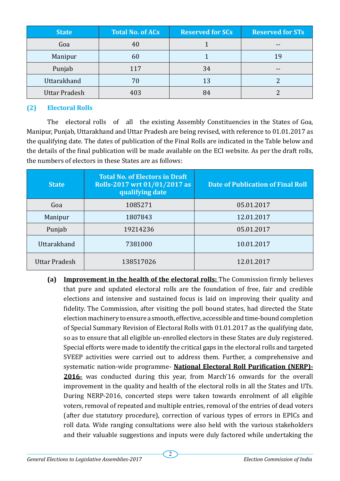| <b>State</b>  | <b>Total No. of ACs</b> | <b>Reserved for SCs</b> | <b>Reserved for STs</b> |
|---------------|-------------------------|-------------------------|-------------------------|
| Goa           | 40                      |                         |                         |
| Manipur       | 60                      |                         | 1 q                     |
| Punjab        | 117                     | 34                      | --                      |
| Uttarakhand   | 70                      | 13                      |                         |
| Uttar Pradesh | 403                     |                         |                         |

# **(2) Electoral Rolls**

The electoral rolls of all the existing Assembly Constituencies in the States of Goa, Manipur, Punjab, Uttarakhand and Uttar Pradesh are being revised, with reference to 01.01.2017 as the qualifying date. The dates of publication of the Final Rolls are indicated in the Table below and the details of the final publication will be made available on the ECI website. As per the draft rolls, the numbers of electors in these States are as follows:

| <b>State</b>         | <b>Total No. of Electors in Draft</b><br>Rolls-2017 wrt 01/01/2017 as<br>qualifying date | <b>Date of Publication of Final Roll</b> |
|----------------------|------------------------------------------------------------------------------------------|------------------------------------------|
| Goa                  | 1085271                                                                                  | 05.01.2017                               |
| Manipur              | 1807843                                                                                  | 12.01.2017                               |
| Punjab               | 19214236                                                                                 | 05.01.2017                               |
| Uttarakhand          | 7381000                                                                                  | 10.01.2017                               |
| <b>Uttar Pradesh</b> | 138517026                                                                                | 12.01.2017                               |

**(a) Improvement in the health of the electoral rolls:** The Commission firmly believes that pure and updated electoral rolls are the foundation of free, fair and credible elections and intensive and sustained focus is laid on improving their quality and fidelity. The Commission, after visiting the poll bound states, had directed the State election machinery to ensure a smooth, effective, accessible and time-bound completion of Special Summary Revision of Electoral Rolls with 01.01.2017 as the qualifying date, so as to ensure that all eligible un-enrolled electors in these States are duly registered. Special efforts were made to identify the critical gaps in the electoral rolls and targeted SVEEP activities were carried out to address them. Further, a comprehensive and systematic nation-wide programme- **National Electoral Roll Purification (NERP)- 2016-** was conducted during this year, from March'16 onwards for the overall improvement in the quality and health of the electoral rolls in all the States and UTs. During NERP-2016, concerted steps were taken towards enrolment of all eligible voters, removal of repeated and multiple entries, removal of the entries of dead voters (after due statutory procedure), correction of various types of errors in EPICs and roll data. Wide ranging consultations were also held with the various stakeholders and their valuable suggestions and inputs were duly factored while undertaking the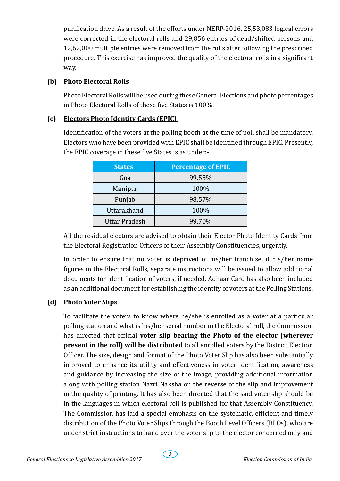purification drive. As a result of the efforts under NERP-2016, 25,53,083 logical errors were corrected in the electoral rolls and 29,856 entries of dead/shifted persons and 12,62,000 multiple entries were removed from the rolls after following the prescribed procedure. This exercise has improved the quality of the electoral rolls in a significant way.

#### **(b) Photo Electoral Rolls**

Photo Electoral Rolls will be used during these General Elections and photo percentages in Photo Electoral Rolls of these five States is 100%.

# **(c) Electors Photo Identity Cards (EPIC)**

Identification of the voters at the polling booth at the time of poll shall be mandatory. Electors who have been provided with EPIC shall be identified through EPIC. Presently, the EPIC coverage in these five States is as under:-

| <b>States</b>        | <b>Percentage of EPIC</b> |  |
|----------------------|---------------------------|--|
| Goa                  | 99.55%                    |  |
| Manipur              | 100%                      |  |
| Punjab               | 98.57%                    |  |
| Uttarakhand          | 100%                      |  |
| <b>Uttar Pradesh</b> | 99.70%                    |  |

All the residual electors are advised to obtain their Elector Photo Identity Cards from the Electoral Registration Officers of their Assembly Constituencies, urgently.

In order to ensure that no voter is deprived of his/her franchise, if his/her name figures in the Electoral Rolls, separate instructions will be issued to allow additional documents for identification of voters, if needed. Adhaar Card has also been included as an additional document for establishing the identity of voters at the Polling Stations.

# **(d) Photo Voter Slips**

To facilitate the voters to know where he/she is enrolled as a voter at a particular polling station and what is his/her serial number in the Electoral roll, the Commission has directed that official **voter slip bearing the Photo of the elector (wherever present in the roll) will be distributed** to all enrolled voters by the District Election Officer. The size, design and format of the Photo Voter Slip has also been substantially improved to enhance its utility and effectiveness in voter identification, awareness and guidance by increasing the size of the image, providing additional information along with polling station Nazri Naksha on the reverse of the slip and improvement in the quality of printing. It has also been directed that the said voter slip should be in the languages in which electoral roll is published for that Assembly Constituency. The Commission has laid a special emphasis on the systematic, efficient and timely distribution of the Photo Voter Slips through the Booth Level Officers (BLOs), who are under strict instructions to hand over the voter slip to the elector concerned only and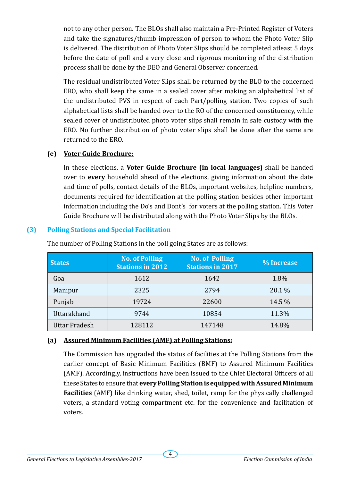not to any other person. The BLOs shall also maintain a Pre-Printed Register of Voters and take the signatures/thumb impression of person to whom the Photo Voter Slip is delivered. The distribution of Photo Voter Slips should be completed atleast 5 days before the date of poll and a very close and rigorous monitoring of the distribution process shall be done by the DEO and General Observer concerned.

The residual undistributed Voter Slips shall be returned by the BLO to the concerned ERO, who shall keep the same in a sealed cover after making an alphabetical list of the undistributed PVS in respect of each Part/polling station. Two copies of such alphabetical lists shall be handed over to the RO of the concerned constituency, while sealed cover of undistributed photo voter slips shall remain in safe custody with the ERO. No further distribution of photo voter slips shall be done after the same are returned to the ERO.

### **(e) Voter Guide Brochure:**

In these elections, a **Voter Guide Brochure (in local languages)** shall be handed over to **every** household ahead of the elections, giving information about the date and time of polls, contact details of the BLOs, important websites, helpline numbers, documents required for identification at the polling station besides other important information including the Do's and Dont's for voters at the polling station. This Voter Guide Brochure will be distributed along with the Photo Voter Slips by the BLOs.

# **(3) Polling Stations and Special Facilitation**

| <b>States</b>        | <b>No. of Polling</b><br><b>Stations in 2012</b> | <b>No. of Polling</b><br><b>Stations in 2017</b> | % Increase |
|----------------------|--------------------------------------------------|--------------------------------------------------|------------|
| Goa                  | 1612                                             | 1642                                             | 1.8%       |
| Manipur              | 2325                                             | 2794                                             | 20.1 %     |
| Punjab               | 19724                                            | 22600                                            | 14.5 %     |
| Uttarakhand          | 9744                                             | 10854                                            | 11.3%      |
| <b>Uttar Pradesh</b> | 128112                                           | 147148                                           | 14.8%      |

The number of Polling Stations in the poll going States are as follows:

# **(a) Assured Minimum Facilities (AMF) at Polling Stations:**

The Commission has upgraded the status of facilities at the Polling Stations from the earlier concept of Basic Minimum Facilities (BMF) to Assured Minimum Facilities (AMF). Accordingly, instructions have been issued to the Chief Electoral Officers of all these States to ensure that **every Polling Station is equipped with Assured Minimum Facilities** (AMF) like drinking water, shed, toilet, ramp for the physically challenged voters, a standard voting compartment etc. for the convenience and facilitation of voters.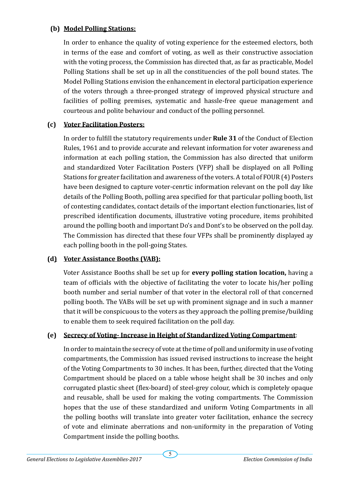### **(b) Model Polling Stations:**

In order to enhance the quality of voting experience for the esteemed electors, both in terms of the ease and comfort of voting, as well as their constructive association with the voting process, the Commission has directed that, as far as practicable, Model Polling Stations shall be set up in all the constituencies of the poll bound states. The Model Polling Stations envision the enhancement in electoral participation experience of the voters through a three-pronged strategy of improved physical structure and facilities of polling premises, systematic and hassle-free queue management and courteous and polite behaviour and conduct of the polling personnel.

# **(c) Voter Facilitation Posters:**

In order to fulfill the statutory requirements under **Rule 31** of the Conduct of Election Rules, 1961 and to provide accurate and relevant information for voter awareness and information at each polling station, the Commission has also directed that uniform and standardized Voter Facilitation Posters (VFP) shall be displayed on all Polling Stations for greater facilitation and awareness of the voters. A total of FOUR (4) Posters have been designed to capture voter-cenrtic information relevant on the poll day like details of the Polling Booth, polling area specified for that particular polling booth, list of contesting candidates, contact details of the important election functionaries, list of prescribed identification documents, illustrative voting procedure, items prohibited around the polling booth and important Do's and Dont's to be observed on the poll day. The Commission has directed that these four VFPs shall be prominently displayed ay each polling booth in the poll-going States.

# **(d) Voter Assistance Booths (VAB):**

Voter Assistance Booths shall be set up for **every polling station location,** having a team of officials with the objective of facilitating the voter to locate his/her polling booth number and serial number of that voter in the electoral roll of that concerned polling booth. The VABs will be set up with prominent signage and in such a manner that it will be conspicuous to the voters as they approach the polling premise/building to enable them to seek required facilitation on the poll day.

# **(e) Secrecy of Voting- Increase in Height of Standardized Voting Compartment**:

In order to maintain the secrecy of vote at the time of poll and uniformity in use of voting compartments, the Commission has issued revised instructions to increase the height of the Voting Compartments to 30 inches. It has been, further, directed that the Voting Compartment should be placed on a table whose height shall be 30 inches and only corrugated plastic sheet (flex-board) of steel-grey colour, which is completely opaque and reusable, shall be used for making the voting compartments. The Commission hopes that the use of these standardized and uniform Voting Compartments in all the polling booths will translate into greater voter facilitation, enhance the secrecy of vote and eliminate aberrations and non-uniformity in the preparation of Voting Compartment inside the polling booths.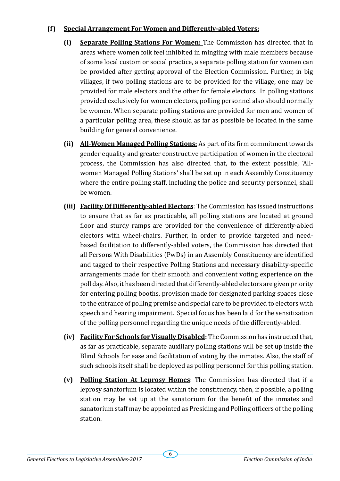#### **(f) Special Arrangement For Women and Differently-abled Voters:**

- **(i) Separate Polling Stations For Women:** The Commission has directed that in areas where women folk feel inhibited in mingling with male members because of some local custom or social practice, a separate polling station for women can be provided after getting approval of the Election Commission. Further, in big villages, if two polling stations are to be provided for the village, one may be provided for male electors and the other for female electors. In polling stations provided exclusively for women electors, polling personnel also should normally be women. When separate polling stations are provided for men and women of a particular polling area, these should as far as possible be located in the same building for general convenience.
- **(ii) All-Women Managed Polling Stations:** As part of its firm commitment towards gender equality and greater constructive participation of women in the electoral process, the Commission has also directed that, to the extent possible, 'Allwomen Managed Polling Stations' shall be set up in each Assembly Constituency where the entire polling staff, including the police and security personnel, shall be women.
- **(iii) Facility Of Differently-abled Electors**: The Commission has issued instructions to ensure that as far as practicable, all polling stations are located at ground floor and sturdy ramps are provided for the convenience of differently-abled electors with wheel-chairs. Further, in order to provide targeted and needbased facilitation to differently-abled voters, the Commission has directed that all Persons With Disabilities (PwDs) in an Assembly Constituency are identified and tagged to their respective Polling Stations and necessary disability-specific arrangements made for their smooth and convenient voting experience on the poll day. Also, it has been directed that differently-abled electors are given priority for entering polling booths, provision made for designated parking spaces close to the entrance of polling premise and special care to be provided to electors with speech and hearing impairment. Special focus has been laid for the sensitization of the polling personnel regarding the unique needs of the differently-abled.
- **(iv) Facility For Schools for Visually Disabled:** The Commission has instructed that, as far as practicable, separate auxiliary polling stations will be set up inside the Blind Schools for ease and facilitation of voting by the inmates. Also, the staff of such schools itself shall be deployed as polling personnel for this polling station.
- **(v) Polling Station At Leprosy Homes**: The Commission has directed that if a leprosy sanatorium is located within the constituency, then, if possible, a polling station may be set up at the sanatorium for the benefit of the inmates and sanatorium staff may be appointed as Presiding and Polling officers of the polling station.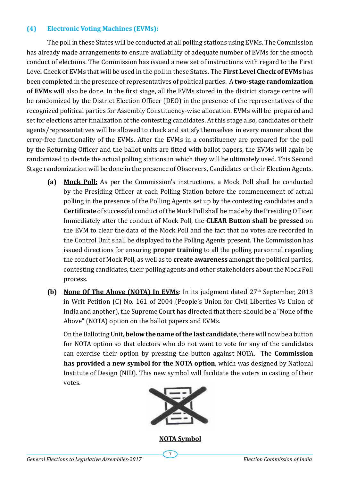#### **(4) Electronic Voting Machines (EVMs):**

The poll in these States will be conducted at all polling stations using EVMs. The Commission has already made arrangements to ensure availability of adequate number of EVMs for the smooth conduct of elections. The Commission has issued a new set of instructions with regard to the First Level Check of EVMs that will be used in the poll in these States. The **First Level Check of EVMs** has been completed in the presence of representatives of political parties. A **two-stage randomization of EVMs** will also be done. In the first stage, all the EVMs stored in the district storage centre will be randomized by the District Election Officer (DEO) in the presence of the representatives of the recognized political parties for Assembly Constituency-wise allocation. EVMs will be prepared and set for elections after finalization of the contesting candidates. At this stage also, candidates or their agents/representatives will be allowed to check and satisfy themselves in every manner about the error-free functionality of the EVMs. After the EVMs in a constituency are prepared for the poll by the Returning Officer and the ballot units are fitted with ballot papers, the EVMs will again be randomized to decide the actual polling stations in which they will be ultimately used. This Second Stage randomization will be done in the presence of Observers, Candidates or their Election Agents.

- **(a) Mock Poll:** As per the Commission's instructions, a Mock Poll shall be conducted by the Presiding Officer at each Polling Station before the commencement of actual polling in the presence of the Polling Agents set up by the contesting candidates and a **Certificate** of successful conduct of the Mock Poll shall be made by the Presiding Officer. Immediately after the conduct of Mock Poll, the **CLEAR Button shall be pressed** on the EVM to clear the data of the Mock Poll and the fact that no votes are recorded in the Control Unit shall be displayed to the Polling Agents present. The Commission has issued directions for ensuring **proper training** to all the polling personnel regarding the conduct of Mock Poll, as well as to **create awareness** amongst the political parties, contesting candidates, their polling agents and other stakeholders about the Mock Poll process.
- **(b)** None Of The Above (NOTA) In EVMs: In its judgment dated  $27<sup>th</sup>$  September, 2013 in Writ Petition (C) No. 161 of 2004 (People's Union for Civil Liberties Vs Union of India and another), the Supreme Court has directed that there should be a "None of the Above" (NOTA) option on the ballot papers and EVMs.

On the Balloting Unit**, below the name of the last candidate**, there will now be a button for NOTA option so that electors who do not want to vote for any of the candidates can exercise their option by pressing the button against NOTA. The **Commission has provided a new symbol for the NOTA option**, which was designed by National Institute of Design (NID). This new symbol will facilitate the voters in casting of their votes.



**NOTA Symbol**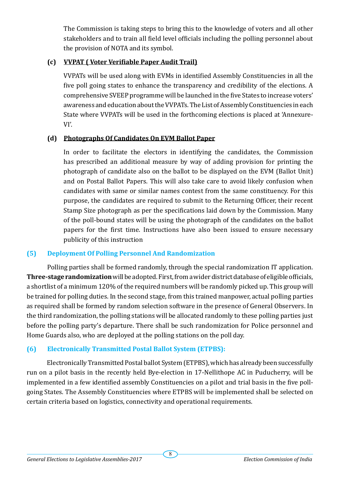The Commission is taking steps to bring this to the knowledge of voters and all other stakeholders and to train all field level officials including the polling personnel about the provision of NOTA and its symbol.

# **(c) VVPAT ( Voter Verifiable Paper Audit Trail)**

VVPATs will be used along with EVMs in identified Assembly Constituencies in all the five poll going states to enhance the transparency and credibility of the elections. A comprehensive SVEEP programme will be launched in the five States to increase voters' awareness and education about the VVPATs. The List of Assembly Constituencies in each State where VVPATs will be used in the forthcoming elections is placed at 'Annexure-VI'.

#### **(d) Photographs Of Candidates On EVM Ballot Paper**

In order to facilitate the electors in identifying the candidates, the Commission has prescribed an additional measure by way of adding provision for printing the photograph of candidate also on the ballot to be displayed on the EVM (Ballot Unit) and on Postal Ballot Papers. This will also take care to avoid likely confusion when candidates with same or similar names contest from the same constituency. For this purpose, the candidates are required to submit to the Returning Officer, their recent Stamp Size photograph as per the specifications laid down by the Commission. Many of the poll-bound states will be using the photograph of the candidates on the ballot papers for the first time. Instructions have also been issued to ensure necessary publicity of this instruction

#### **(5) Deployment Of Polling Personnel And Randomization**

Polling parties shall be formed randomly, through the special randomization IT application. **Three-stage randomization** will be adopted. First, from a wider district database of eligible officials, a shortlist of a minimum 120% of the required numbers will be randomly picked up. This group will be trained for polling duties. In the second stage, from this trained manpower, actual polling parties as required shall be formed by random selection software in the presence of General Observers. In the third randomization, the polling stations will be allocated randomly to these polling parties just before the polling party's departure. There shall be such randomization for Police personnel and Home Guards also, who are deployed at the polling stations on the poll day.

# **(6) Electronically Transmitted Postal Ballot System (ETPBS):**

Electronically Transmitted Postal ballot System (ETPBS), which has already been successfully run on a pilot basis in the recently held Bye-election in 17-Nellithope AC in Puducherry, will be implemented in a few identified assembly Constituencies on a pilot and trial basis in the five pollgoing States. The Assembly Constituencies where ETPBS will be implemented shall be selected on certain criteria based on logistics, connectivity and operational requirements.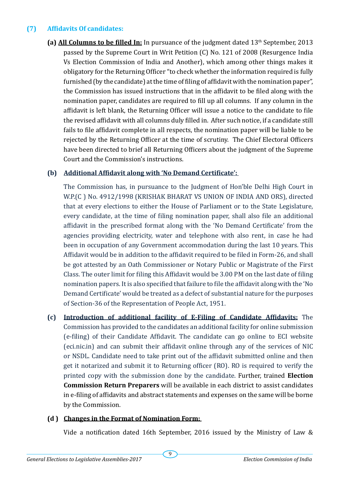### **(7) Affidavits Of candidates:**

**(a) All Columns to be filled In:** In pursuance of the judgment dated 13th September, 2013 passed by the Supreme Court in Writ Petition (C) No. 121 of 2008 (Resurgence India Vs Election Commission of India and Another), which among other things makes it obligatory for the Returning Officer "to check whether the information required is fully furnished (by the candidate) at the time of filing of affidavit with the nomination paper", the Commission has issued instructions that in the affidavit to be filed along with the nomination paper, candidates are required to fill up all columns. If any column in the affidavit is left blank, the Returning Officer will issue a notice to the candidate to file the revised affidavit with all columns duly filled in. After such notice, if a candidate still fails to file affidavit complete in all respects, the nomination paper will be liable to be rejected by the Returning Officer at the time of scrutiny. The Chief Electoral Officers have been directed to brief all Returning Officers about the judgment of the Supreme Court and the Commission's instructions.

#### **(b) Additional Affidavit along with 'No Demand Certificate':**

The Commission has, in pursuance to the Judgment of Hon'ble Delhi High Court in W.P.(C ) No. 4912/1998 (KRISHAK BHARAT VS UNION OF INDIA AND ORS), directed that at every elections to either the House of Parliament or to the State Legislature, every candidate, at the time of filing nomination paper, shall also file an additional affidavit in the prescribed format along with the 'No Demand Certificate' from the agencies providing electricity, water and telephone with also rent, in case he had been in occupation of any Government accommodation during the last 10 years. This Affidavit would be in addition to the affidavit required to be filed in Form-26, and shall be got attested by an Oath Commissioner or Notary Public or Magistrate of the First Class. The outer limit for filing this Affidavit would be 3.00 PM on the last date of filing nomination papers. It is also specified that failure to file the affidavit along with the 'No Demand Certificate' would be treated as a defect of substantial nature for the purposes of Section-36 of the Representation of People Act, 1951.

**(c) Introduction of additional facility of E-Filing of Candidate Affidavits:** The Commission has provided to the candidates an additional facility for online submission (e-filing) of their Candidate Affidavit. The candidate can go online to ECI website (eci.nic.in) and can submit their affidavit online through any of the services of NIC or NSDL. Candidate need to take print out of the affidavit submitted online and then get it notarized and submit it to Returning officer (RO). RO is required to verify the printed copy with the submission done by the candidate. Further, trained **Election Commission Return Preparers** will be available in each district to assist candidates in e-filing of affidavits and abstract statements and expenses on the same will be borne by the Commission.

#### **(d ) Changes in the Format of Nomination Form:**

Vide a notification dated 16th September, 2016 issued by the Ministry of Law &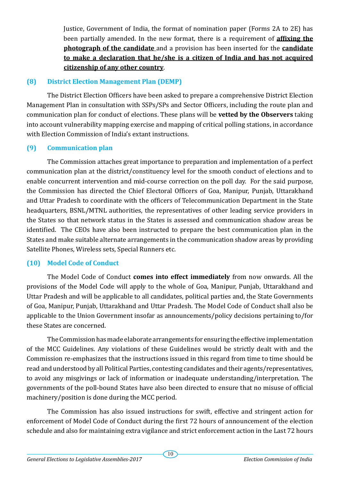Justice, Government of India, the format of nomination paper (Forms 2A to 2E) has been partially amended. In the new format, there is a requirement of **affixing the photograph of the candidate** and a provision has been inserted for the **candidate to make a declaration that he/she is a citizen of India and has not acquired citizenship of any other country**.

### **(8) District Election Management Plan (DEMP)**

The District Election Officers have been asked to prepare a comprehensive District Election Management Plan in consultation with SSPs/SPs and Sector Officers, including the route plan and communication plan for conduct of elections. These plans will be **vetted by the Observers** taking into account vulnerability mapping exercise and mapping of critical polling stations, in accordance with Election Commission of India's extant instructions.

### **(9) Communication plan**

The Commission attaches great importance to preparation and implementation of a perfect communication plan at the district/constituency level for the smooth conduct of elections and to enable concurrent intervention and mid-course correction on the poll day. For the said purpose, the Commission has directed the Chief Electoral Officers of Goa, Manipur, Punjab, Uttarakhand and Uttar Pradesh to coordinate with the officers of Telecommunication Department in the State headquarters, BSNL/MTNL authorities, the representatives of other leading service providers in the States so that network status in the States is assessed and communication shadow areas be identified. The CEOs have also been instructed to prepare the best communication plan in the States and make suitable alternate arrangements in the communication shadow areas by providing Satellite Phones, Wireless sets, Special Runners etc.

# **(10) Model Code of Conduct**

The Model Code of Conduct **comes into effect immediately** from now onwards. All the provisions of the Model Code will apply to the whole of Goa, Manipur, Punjab, Uttarakhand and Uttar Pradesh and will be applicable to all candidates, political parties and, the State Governments of Goa, Manipur, Punjab, Uttarakhand and Uttar Pradesh. The Model Code of Conduct shall also be applicable to the Union Government insofar as announcements/policy decisions pertaining to/for these States are concerned.

The Commission has made elaborate arrangements for ensuring the effective implementation of the MCC Guidelines. Any violations of these Guidelines would be strictly dealt with and the Commission re-emphasizes that the instructions issued in this regard from time to time should be read and understood by all Political Parties, contesting candidates and their agents/representatives, to avoid any misgivings or lack of information or inadequate understanding/interpretation. The governments of the poll-bound States have also been directed to ensure that no misuse of official machinery/position is done during the MCC period.

The Commission has also issued instructions for swift, effective and stringent action for enforcement of Model Code of Conduct during the first 72 hours of announcement of the election schedule and also for maintaining extra vigilance and strict enforcement action in the Last 72 hours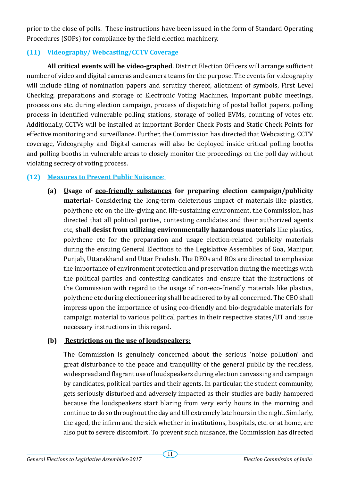prior to the close of polls. These instructions have been issued in the form of Standard Operating Procedures (SOPs) for compliance by the field election machinery.

# **(11) Videography/ Webcasting/CCTV Coverage**

**All critical events will be video-graphed**. District Election Officers will arrange sufficient number of video and digital cameras and camera teams for the purpose. The events for videography will include filing of nomination papers and scrutiny thereof, allotment of symbols, First Level Checking, preparations and storage of Electronic Voting Machines, important public meetings, processions etc. during election campaign, process of dispatching of postal ballot papers, polling process in identified vulnerable polling stations, storage of polled EVMs, counting of votes etc. Additionally, CCTVs will be installed at important Border Check Posts and Static Check Points for effective monitoring and surveillance. Further, the Commission has directed that Webcasting, CCTV coverage, Videography and Digital cameras will also be deployed inside critical polling booths and polling booths in vulnerable areas to closely monitor the proceedings on the poll day without violating secrecy of voting process.

#### **(12) Measures to Prevent Public Nuisance**:

**(a) Usage of eco-friendly substances for preparing election campaign/publicity material-** Considering the long-term deleterious impact of materials like plastics, polythene etc on the life-giving and life-sustaining environment, the Commission, has directed that all political parties, contesting candidates and their authorized agents etc, **shall desist from utilizing environmentally hazardous materials** like plastics, polythene etc for the preparation and usage election-related publicity materials during the ensuing General Elections to the Legislative Assemblies of Goa, Manipur, Punjab, Uttarakhand and Uttar Pradesh. The DEOs and ROs are directed to emphasize the importance of environment protection and preservation during the meetings with the political parties and contesting candidates and ensure that the instructions of the Commission with regard to the usage of non-eco-friendly materials like plastics, polythene etc during electioneering shall be adhered to by all concerned. The CEO shall impress upon the importance of using eco-friendly and bio-degradable materials for campaign material to various political parties in their respective states/UT and issue necessary instructions in this regard.

#### **(b) Restrictions on the use of loudspeakers:**

The Commission is genuinely concerned about the serious 'noise pollution' and great disturbance to the peace and tranquility of the general public by the reckless, widespread and flagrant use of loudspeakers during election canvassing and campaign by candidates, political parties and their agents. In particular, the student community, gets seriously disturbed and adversely impacted as their studies are badly hampered because the loudspeakers start blaring from very early hours in the morning and continue to do so throughout the day and till extremely late hours in the night. Similarly, the aged, the infirm and the sick whether in institutions, hospitals, etc. or at home, are also put to severe discomfort. To prevent such nuisance, the Commission has directed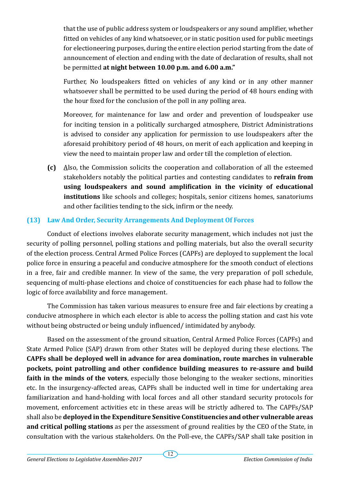that the use of public address system or loudspeakers or any sound amplifier, whether fitted on vehicles of any kind whatsoever, or in static position used for public meetings for electioneering purposes, during the entire election period starting from the date of announcement of election and ending with the date of declaration of results, shall not be permitted **at night between 10.00 p.m. and 6.00 a.m."**

Further, No loudspeakers fitted on vehicles of any kind or in any other manner whatsoever shall be permitted to be used during the period of 48 hours ending with the hour fixed for the conclusion of the poll in any polling area.

Moreover, for maintenance for law and order and prevention of loudspeaker use for inciting tension in a politically surcharged atmosphere, District Administrations is advised to consider any application for permission to use loudspeakers after the aforesaid prohibitory period of 48 hours, on merit of each application and keeping in view the need to maintain proper law and order till the completion of election.

**(c)** Also, the Commission solicits the cooperation and collaboration of all the esteemed stakeholders notably the political parties and contesting candidates to **refrain from using loudspeakers and sound amplification in the vicinity of educational institutions** like schools and colleges; hospitals, senior citizens homes, sanatoriums and other facilities tending to the sick, infirm or the needy.

# **(13) Law And Order, Security Arrangements And Deployment Of Forces**

Conduct of elections involves elaborate security management, which includes not just the security of polling personnel, polling stations and polling materials, but also the overall security of the election process. Central Armed Police Forces (CAPFs) are deployed to supplement the local police force in ensuring a peaceful and conducive atmosphere for the smooth conduct of elections in a free, fair and credible manner. In view of the same, the very preparation of poll schedule, sequencing of multi-phase elections and choice of constituencies for each phase had to follow the logic of force availability and force management.

The Commission has taken various measures to ensure free and fair elections by creating a conducive atmosphere in which each elector is able to access the polling station and cast his vote without being obstructed or being unduly influenced/ intimidated by anybody.

Based on the assessment of the ground situation, Central Armed Police Forces (CAPFs) and State Armed Police (SAP) drawn from other States will be deployed during these elections. The **CAPFs shall be deployed well in advance for area domination, route marches in vulnerable pockets, point patrolling and other confidence building measures to re-assure and build faith in the minds of the voters**, especially those belonging to the weaker sections, minorities etc. In the insurgency-affected areas, CAPFs shall be inducted well in time for undertaking area familiarization and hand-holding with local forces and all other standard security protocols for movement, enforcement activities etc in these areas will be strictly adhered to. The CAPFs/SAP shall also be **deployed in the Expenditure Sensitive Constituencies and other vulnerable areas and critical polling stations** as per the assessment of ground realities by the CEO of the State, in consultation with the various stakeholders. On the Poll-eve, the CAPFs/SAP shall take position in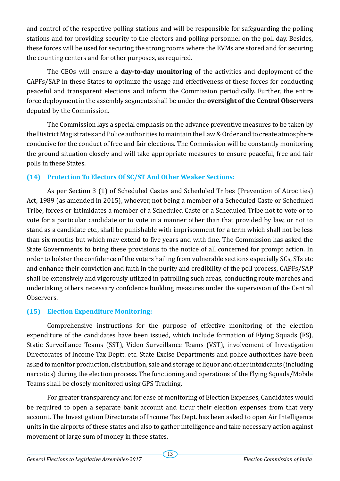and control of the respective polling stations and will be responsible for safeguarding the polling stations and for providing security to the electors and polling personnel on the poll day. Besides, these forces will be used for securing the strong rooms where the EVMs are stored and for securing the counting centers and for other purposes, as required.

The CEOs will ensure a **day-to-day monitoring** of the activities and deployment of the CAPFs/SAP in these States to optimize the usage and effectiveness of these forces for conducting peaceful and transparent elections and inform the Commission periodically. Further, the entire force deployment in the assembly segments shall be under the **oversight of the Central Observers**  deputed by the Commission.

The Commission lays a special emphasis on the advance preventive measures to be taken by the District Magistrates and Police authorities to maintain the Law & Order and to create atmosphere conducive for the conduct of free and fair elections. The Commission will be constantly monitoring the ground situation closely and will take appropriate measures to ensure peaceful, free and fair polls in these States.

# **(14) Protection To Electors Of SC/ST And Other Weaker Sections:**

As per Section 3 (1) of Scheduled Castes and Scheduled Tribes (Prevention of Atrocities) Act, 1989 (as amended in 2015), whoever, not being a member of a Scheduled Caste or Scheduled Tribe, forces or intimidates a member of a Scheduled Caste or a Scheduled Tribe not to vote or to vote for a particular candidate or to vote in a manner other than that provided by law, or not to stand as a candidate etc., shall be punishable with imprisonment for a term which shall not be less than six months but which may extend to five years and with fine. The Commission has asked the State Governments to bring these provisions to the notice of all concerned for prompt action. In order to bolster the confidence of the voters hailing from vulnerable sections especially SCs, STs etc and enhance their conviction and faith in the purity and credibility of the poll process, CAPFs/SAP shall be extensively and vigorously utilized in patrolling such areas, conducting route marches and undertaking others necessary confidence building measures under the supervision of the Central Observers.

# **(15) Election Expenditure Monitoring:**

Comprehensive instructions for the purpose of effective monitoring of the election expenditure of the candidates have been issued, which include formation of Flying Squads (FS), Static Surveillance Teams (SST), Video Surveillance Teams (VST), involvement of Investigation Directorates of Income Tax Deptt. etc. State Excise Departments and police authorities have been asked to monitor production, distribution, sale and storage of liquor and other intoxicants (including narcotics) during the election process. The functioning and operations of the Flying Squads/Mobile Teams shall be closely monitored using GPS Tracking.

For greater transparency and for ease of monitoring of Election Expenses, Candidates would be required to open a separate bank account and incur their election expenses from that very account. The Investigation Directorate of Income Tax Dept. has been asked to open Air Intelligence units in the airports of these states and also to gather intelligence and take necessary action against movement of large sum of money in these states.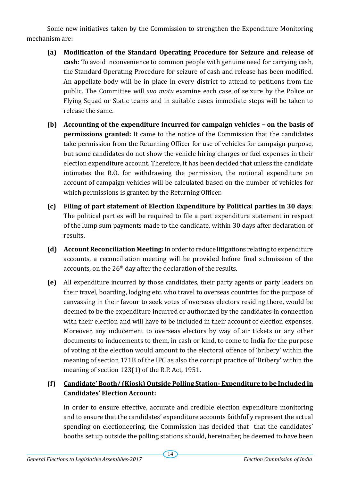Some new initiatives taken by the Commission to strengthen the Expenditure Monitoring mechanism are:

- **(a) Modification of the Standard Operating Procedure for Seizure and release of cash**: To avoid inconvenience to common people with genuine need for carrying cash, the Standard Operating Procedure for seizure of cash and release has been modified. An appellate body will be in place in every district to attend to petitions from the public. The Committee will *suo motu* examine each case of seizure by the Police or Flying Squad or Static teams and in suitable cases immediate steps will be taken to release the same.
- **(b) Accounting of the expenditure incurred for campaign vehicles on the basis of permissions granted:** It came to the notice of the Commission that the candidates take permission from the Returning Officer for use of vehicles for campaign purpose, but some candidates do not show the vehicle hiring charges or fuel expenses in their election expenditure account. Therefore, it has been decided that unless the candidate intimates the R.O. for withdrawing the permission, the notional expenditure on account of campaign vehicles will be calculated based on the number of vehicles for which permissions is granted by the Returning Officer.
- **(c) Filing of part statement of Election Expenditure by Political parties in 30 days**: The political parties will be required to file a part expenditure statement in respect of the lump sum payments made to the candidate, within 30 days after declaration of results.
- **(d) Account Reconciliation Meeting:** In order to reduce litigations relating to expenditure accounts, a reconciliation meeting will be provided before final submission of the accounts, on the 26<sup>th</sup> day after the declaration of the results.
- **(e)** All expenditure incurred by those candidates, their party agents or party leaders on their travel, boarding, lodging etc. who travel to overseas countries for the purpose of canvassing in their favour to seek votes of overseas electors residing there, would be deemed to be the expenditure incurred or authorized by the candidates in connection with their election and will have to be included in their account of election expenses. Moreover, any inducement to overseas electors by way of air tickets or any other documents to inducements to them, in cash or kind, to come to India for the purpose of voting at the election would amount to the electoral offence of 'bribery' within the meaning of section 171B of the IPC as also the corrupt practice of 'Bribery' within the meaning of section 123(1) of the R.P. Act, 1951.

# **(f) Candidate' Booth/ (Kiosk) Outside Polling Station- Expenditure to be Included in Candidates' Election Account:**

In order to ensure effective, accurate and credible election expenditure monitoring and to ensure that the candidates' expenditure accounts faithfully represent the actual spending on electioneering, the Commission has decided that that the candidates' booths set up outside the polling stations should, hereinafter, be deemed to have been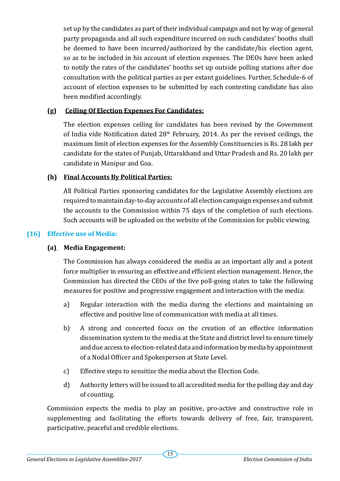set up by the candidates as part of their individual campaign and not by way of general party propaganda and all such expenditure incurred on such candidates' booths shall be deemed to have been incurred/authorized by the candidate/his election agent, so as to be included in his account of election expenses. The DEOs have been asked to notify the rates of the candidates' booths set up outside polling stations after due consultation with the political parties as per extant guidelines. Further, Schedule-6 of account of election expenses to be submitted by each contesting candidate has also been modified accordingly.

#### **(g) Ceiling Of Election Expenses For Candidates:**

The election expenses ceiling for candidates has been revised by the Government of India vide Notification dated  $28<sup>th</sup>$  February, 2014. As per the revised ceilings, the maximum limit of election expenses for the Assembly Constituencies is Rs. 28 lakh per candidate for the states of Punjab, Uttarakhand and Uttar Pradesh and Rs. 20 lakh per candidate in Manipur and Goa.

#### **(h) Final Accounts By Political Parties:**

All Political Parties sponsoring candidates for the Legislative Assembly elections are required to maintain day-to-day accounts of all election campaign expenses and submit the accounts to the Commission within 75 days of the completion of such elections. Such accounts will be uploaded on the website of the Commission for public viewing.

#### **(16) Effective use of Media:**

#### **(a) Media Engagement:**

The Commission has always considered the media as an important ally and a potent force multiplier in ensuring an effective and efficient election management. Hence, the Commission has directed the CEOs of the five poll-going states to take the following measures for positive and progressive engagement and interaction with the media:

- a) Regular interaction with the media during the elections and maintaining an effective and positive line of communication with media at all times.
- b) A strong and concerted focus on the creation of an effective information dissemination system to the media at the State and district level to ensure timely and due access to election-related data and information by media by appointment of a Nodal Officer and Spokesperson at State Level.
- c) Effective steps to sensitize the media about the Election Code.
- d) Authority letters will be issued to all accredited media for the polling day and day of counting.

Commission expects the media to play an positive, pro-active and constructive role in supplementing and facilitating the efforts towards delivery of free, fair, transparent, participative, peaceful and credible elections.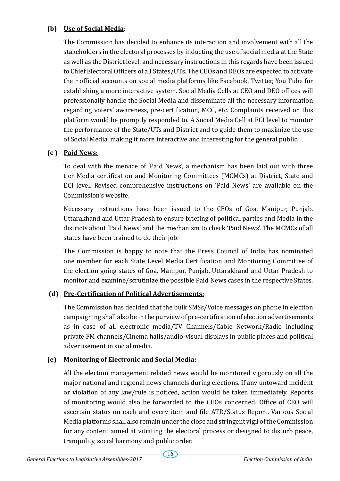# **(b) Use of Social Media**:

The Commission has decided to enhance its interaction and involvement with all the stakeholders in the electoral processes by inducting the use of social media at the State as well as the District level. and necessary instructions in this regards have been issued to Chief Electoral Officers of all States/UTs. The CEOs and DEOs are expected to activate their official accounts on social media platforms like Facebook, Twitter, You Tube for establishing a more interactive system. Social Media Cells at CEO and DEO offices will professionally handle the Social Media and disseminate all the necessary information regarding voters' awareness, pre-certification, MCC, etc. Complaints received on this platform would be promptly responded to. A Social Media Cell at ECI level to monitor the performance of the State/UTs and District and to guide them to maximize the use of Social Media, making it more interactive and interesting for the general public.

### **(c ) Paid News:**

To deal with the menace of 'Paid News', a mechanism has been laid out with three tier Media certification and Monitoring Committees (MCMCs) at District, State and ECI level. Revised comprehensive instructions on 'Paid News' are available on the Commission's website.

Necessary instructions have been issued to the CEOs of Goa, Manipur, Punjab, Uttarakhand and Uttar Pradesh to ensure briefing of political parties and Media in the districts about 'Paid News' and the mechanism to check 'Paid News'. The MCMCs of all states have been trained to do their job.

The Commission is happy to note that the Press Council of India has nominated one member for each State Level Media Certification and Monitoring Committee of the election going states of Goa, Manipur, Punjab, Uttarakhand and Uttar Pradesh to monitor and examine/scrutinize the possible Paid News cases in the respective States.

# **(d) Pre-Certification of Political Advertisements:**

The Commission has decided that the bulk SMSs/Voice messages on phone in election campaigning shall also be in the purview of pre-certification of election advertisements as in case of all electronic media/TV Channels/Cable Network/Radio including private FM channels/Cinema halls/audio-visual displays in public places and political advertisement in social media.

# **(e) Monitoring of Electronic and Social Media:**

All the election management related news would be monitored vigorously on all the major national and regional news channels during elections. If any untoward incident or violation of any law/rule is noticed, action would be taken immediately. Reports of monitoring would also be forwarded to the CEOs concerned. Office of CEO will ascertain status on each and every item and file ATR/Status Report. Various Social Media platforms shall also remain under the close and stringent vigil of the Commission for any content aimed at vitiating the electoral process or designed to disturb peace, tranquility, social harmony and public order.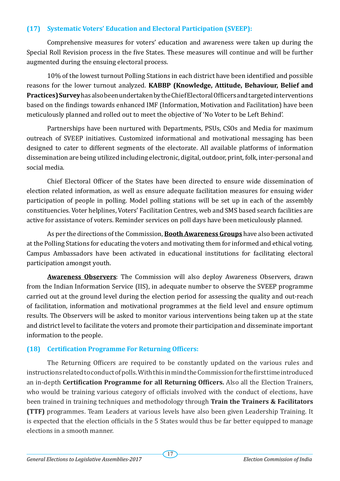### **(17) Systematic Voters' Education and Electoral Participation (SVEEP):**

Comprehensive measures for voters' education and awareness were taken up during the Special Roll Revision process in the five States. These measures will continue and will be further augmented during the ensuing electoral process.

10% of the lowest turnout Polling Stations in each district have been identified and possible reasons for the lower turnout analyzed. **KABBP (Knowledge, Attitude, Behaviour, Belief and Practices) Survey** has also been undertaken by the Chief Electoral Officers and targeted interventions based on the findings towards enhanced IMF (Information, Motivation and Facilitation) have been meticulously planned and rolled out to meet the objective of 'No Voter to be Left Behind'.

Partnerships have been nurtured with Departments, PSUs, CSOs and Media for maximum outreach of SVEEP initiatives. Customized informational and motivational messaging has been designed to cater to different segments of the electorate. All available platforms of information dissemination are being utilized including electronic, digital, outdoor, print, folk, inter-personal and social media.

Chief Electoral Officer of the States have been directed to ensure wide dissemination of election related information, as well as ensure adequate facilitation measures for ensuing wider participation of people in polling. Model polling stations will be set up in each of the assembly constituencies. Voter helplines, Voters' Facilitation Centres, web and SMS based search facilities are active for assistance of voters. Reminder services on poll days have been meticulously planned.

As per the directions of the Commission, **Booth Awareness Groups** have also been activated at the Polling Stations for educating the voters and motivating them for informed and ethical voting. Campus Ambassadors have been activated in educational institutions for facilitating electoral participation amongst youth.

**Awareness Observers**: The Commission will also deploy Awareness Observers, drawn from the Indian Information Service (IIS), in adequate number to observe the SVEEP programme carried out at the ground level during the election period for assessing the quality and out-reach of facilitation, information and motivational programmes at the field level and ensure optimum results. The Observers will be asked to monitor various interventions being taken up at the state and district level to facilitate the voters and promote their participation and disseminate important information to the people.

# **(18) Certification Programme For Returning Officers:**

The Returning Officers are required to be constantly updated on the various rules and instructions related to conduct of polls. With this in mind the Commission for the first time introduced an in-depth **Certification Programme for all Returning Officers.** Also all the Election Trainers, who would be training various category of officials involved with the conduct of elections, have been trained in training techniques and methodology through **Train the Trainers & Facilitators (TTF)** programmes. Team Leaders at various levels have also been given Leadership Training. It is expected that the election officials in the 5 States would thus be far better equipped to manage elections in a smooth manner.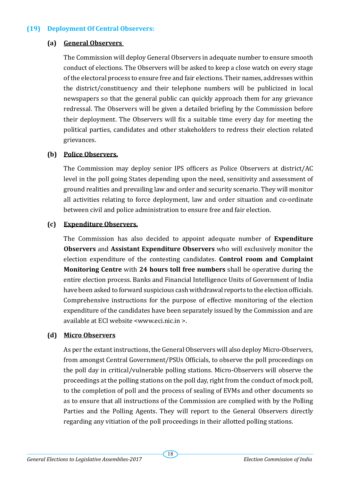#### **(19) Deployment Of Central Observers:**

#### **(a) General Observers**

The Commission will deploy General Observers in adequate number to ensure smooth conduct of elections. The Observers will be asked to keep a close watch on every stage of the electoral process to ensure free and fair elections. Their names, addresses within the district/constituency and their telephone numbers will be publicized in local newspapers so that the general public can quickly approach them for any grievance redressal. The Observers will be given a detailed briefing by the Commission before their deployment. The Observers will fix a suitable time every day for meeting the political parties, candidates and other stakeholders to redress their election related grievances.

#### **(b) Police Observers.**

The Commission may deploy senior IPS officers as Police Observers at district/AC level in the poll going States depending upon the need, sensitivity and assessment of ground realities and prevailing law and order and security scenario. They will monitor all activities relating to force deployment, law and order situation and co-ordinate between civil and police administration to ensure free and fair election.

#### **(c) Expenditure Observers.**

The Commission has also decided to appoint adequate number of **Expenditure Observers** and **Assistant Expenditure Observers** who will exclusively monitor the election expenditure of the contesting candidates. **Control room and Complaint Monitoring Centre** with **24 hours toll free numbers** shall be operative during the entire election process. Banks and Financial Intelligence Units of Government of India have been asked to forward suspicious cash withdrawal reports to the election officials. Comprehensive instructions for the purpose of effective monitoring of the election expenditure of the candidates have been separately issued by the Commission and are available at ECI website <www.eci.nic.in >.

#### **(d) Micro Observers**

As per the extant instructions, the General Observers will also deploy Micro-Observers, from amongst Central Government/PSUs Officials, to observe the poll proceedings on the poll day in critical/vulnerable polling stations. Micro-Observers will observe the proceedings at the polling stations on the poll day, right from the conduct of mock poll, to the completion of poll and the process of sealing of EVMs and other documents so as to ensure that all instructions of the Commission are complied with by the Polling Parties and the Polling Agents. They will report to the General Observers directly regarding any vitiation of the poll proceedings in their allotted polling stations.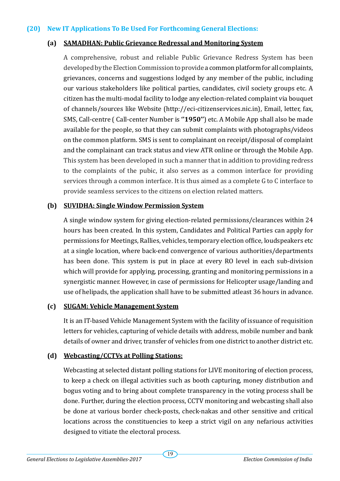#### **(20) New IT Applications To Be Used For Forthcoming General Elections:**

#### **(a) SAMADHAN: Public Grievance Redressal and Monitoring System**

A comprehensive, robust and reliable Public Grievance Redress System has been developed by the Election Commission to provide a common platform for all complaints, grievances, concerns and suggestions lodged by any member of the public, including our various stakeholders like political parties, candidates, civil society groups etc. A citizen has the multi-modal facility to lodge any election-related complaint via bouquet of channels/sources like Website (http://eci-citizenservices.nic.in), Email, letter, fax, SMS, Call-centre ( Call-center Number is **''1950''**) etc. A Mobile App shall also be made available for the people, so that they can submit complaints with photographs/videos on the common platform. SMS is sent to complainant on receipt/disposal of complaint and the complainant can track status and view ATR online or through the Mobile App. This system has been developed in such a manner that in addition to providing redress to the complaints of the pubic, it also serves as a common interface for providing services through a common interface. It is thus aimed as a complete G to C interface to provide seamless services to the citizens on election related matters.

#### **(b) SUVIDHA: Single Window Permission System**

A single window system for giving election-related permissions/clearances within 24 hours has been created. In this system, Candidates and Political Parties can apply for permissions for Meetings, Rallies, vehicles, temporary election office, loudspeakers etc at a single location, where back-end convergence of various authorities/departments has been done. This system is put in place at every RO level in each sub-division which will provide for applying, processing, granting and monitoring permissions in a synergistic manner. However, in case of permissions for Helicopter usage/landing and use of helipads, the application shall have to be submitted atleast 36 hours in advance.

#### **(c) SUGAM: Vehicle Management System**

It is an IT-based Vehicle Management System with the facility of issuance of requisition letters for vehicles, capturing of vehicle details with address, mobile number and bank details of owner and driver, transfer of vehicles from one district to another district etc.

#### **(d) Webcasting/CCTVs at Polling Stations:**

Webcasting at selected distant polling stations for LIVE monitoring of election process, to keep a check on illegal activities such as booth capturing, money distribution and bogus voting and to bring about complete transparency in the voting process shall be done. Further, during the election process, CCTV monitoring and webcasting shall also be done at various border check-posts, check-nakas and other sensitive and critical locations across the constituencies to keep a strict vigil on any nefarious activities designed to vitiate the electoral process.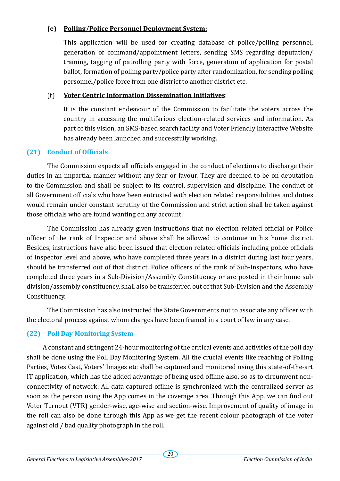### **(e) Polling/Police Personnel Deployment System:**

This application will be used for creating database of police/polling personnel, generation of command/appointment letters, sending SMS regarding deputation/ training, tagging of patrolling party with force, generation of application for postal ballot, formation of polling party/police party after randomization, for sending polling personnel/police force from one district to another district etc.

### (f) **Voter Centric Information Dissemination Initiatives**:

It is the constant endeavour of the Commission to facilitate the voters across the country in accessing the multifarious election-related services and information. As part of this vision, an SMS-based search facility and Voter Friendly Interactive Website has already been launched and successfully working.

# **(21) Conduct of Officials**

The Commission expects all officials engaged in the conduct of elections to discharge their duties in an impartial manner without any fear or favour. They are deemed to be on deputation to the Commission and shall be subject to its control, supervision and discipline. The conduct of all Government officials who have been entrusted with election related responsibilities and duties would remain under constant scrutiny of the Commission and strict action shall be taken against those officials who are found wanting on any account.

The Commission has already given instructions that no election related official or Police officer of the rank of Inspector and above shall be allowed to continue in his home district. Besides, instructions have also been issued that election related officials including police officials of Inspector level and above, who have completed three years in a district during last four years, should be transferred out of that district. Police officers of the rank of Sub-Inspectors, who have completed three years in a Sub-Division/Assembly Constituency or are posted in their home sub division/assembly constituency, shall also be transferred out of that Sub-Division and the Assembly Constituency.

The Commission has also instructed the State Governments not to associate any officer with the electoral process against whom charges have been framed in a court of law in any case.

# **(22) Poll Day Monitoring System**

A constant and stringent 24-hour monitoring of the critical events and activities of the poll day shall be done using the Poll Day Monitoring System. All the crucial events like reaching of Polling Parties, Votes Cast, Voters' Images etc shall be captured and monitored using this state-of-the-art IT application, which has the added advantage of being used offline also, so as to circumvent nonconnectivity of network. All data captured offline is synchronized with the centralized server as soon as the person using the App comes in the coverage area. Through this App, we can find out Voter Turnout (VTR) gender-wise, age-wise and section-wise. Improvement of quality of image in the roll can also be done through this App as we get the recent colour photograph of the voter against old / bad quality photograph in the roll.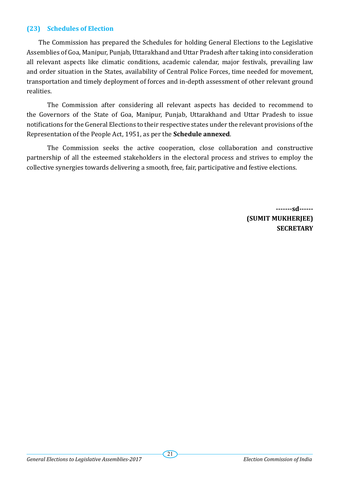#### **(23) Schedules of Election**

The Commission has prepared the Schedules for holding General Elections to the Legislative Assemblies of Goa, Manipur, Punjab, Uttarakhand and Uttar Pradesh after taking into consideration all relevant aspects like climatic conditions, academic calendar, major festivals, prevailing law and order situation in the States, availability of Central Police Forces, time needed for movement, transportation and timely deployment of forces and in-depth assessment of other relevant ground realities.

The Commission after considering all relevant aspects has decided to recommend to the Governors of the State of Goa, Manipur, Punjab, Uttarakhand and Uttar Pradesh to issue notifications for the General Elections to their respective states under the relevant provisions of the Representation of the People Act, 1951, as per the **Schedule annexed**.

The Commission seeks the active cooperation, close collaboration and constructive partnership of all the esteemed stakeholders in the electoral process and strives to employ the collective synergies towards delivering a smooth, free, fair, participative and festive elections.

> **-------sd------ (SUMIT MUKHERJEE) SECRETARY**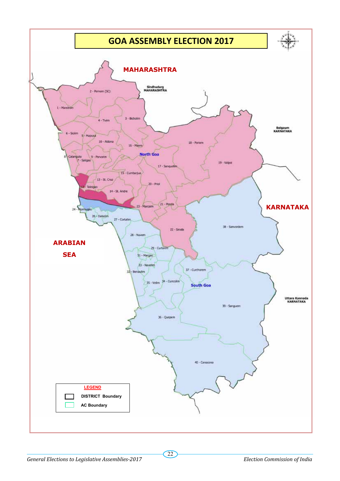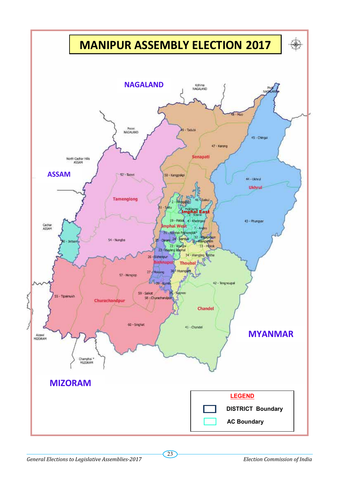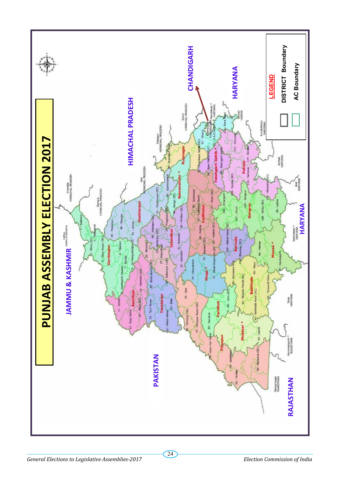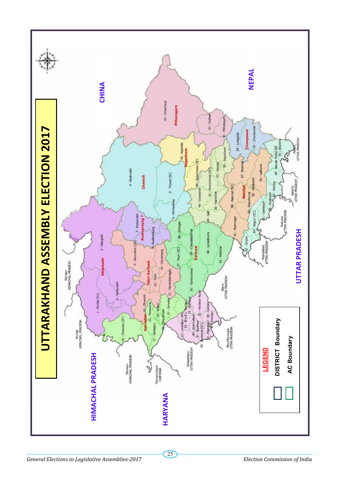![](_page_24_Figure_0.jpeg)